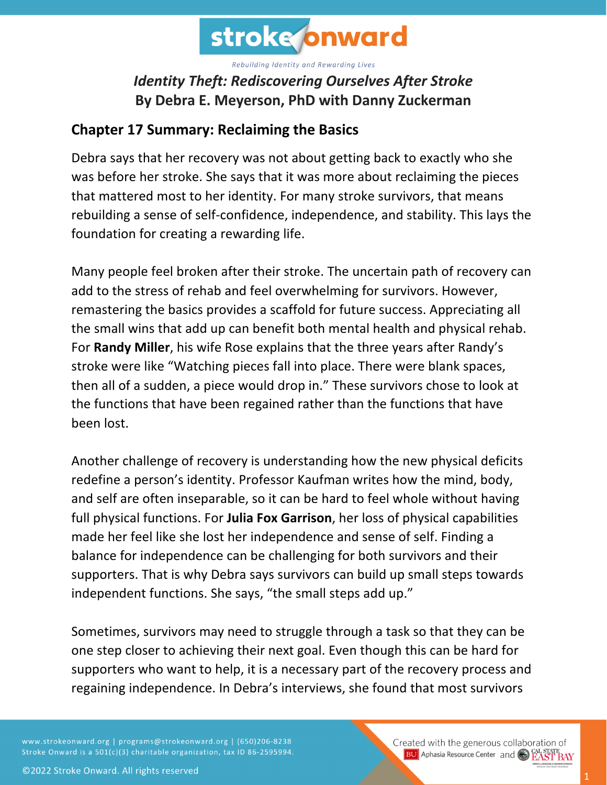

## *Identity Theft: Rediscovering Ourselves After Stroke* **By Debra E. Meyerson, PhD with Danny Zuckerman**

## **Chapter 17 Summary: Reclaiming the Basics**

Debra says that her recovery was not about getting back to exactly who she was before her stroke. She says that it was more about reclaiming the pieces that mattered most to her identity. For many stroke survivors, that means rebuilding a sense of self-confidence, independence, and stability. This lays the foundation for creating a rewarding life.

Many people feel broken after their stroke. The uncertain path of recovery can add to the stress of rehab and feel overwhelming for survivors. However, remastering the basics provides a scaffold for future success. Appreciating all the small wins that add up can benefit both mental health and physical rehab. For **Randy Miller**, his wife Rose explains that the three years after Randy's stroke were like "Watching pieces fall into place. There were blank spaces, then all of a sudden, a piece would drop in." These survivors chose to look at the functions that have been regained rather than the functions that have been lost.

Another challenge of recovery is understanding how the new physical deficits redefine a person's identity. Professor Kaufman writes how the mind, body, and self are often inseparable, so it can be hard to feel whole without having full physical functions. For **Julia Fox Garrison**, her loss of physical capabilities made her feel like she lost her independence and sense of self. Finding a balance for independence can be challenging for both survivors and their supporters. That is why Debra says survivors can build up small steps towards independent functions. She says, "the small steps add up."

Sometimes, survivors may need to struggle through a task so that they can be one step closer to achieving their next goal. Even though this can be hard for supporters who want to help, it is a necessary part of the recovery process and regaining independence. In Debra's interviews, she found that most survivors

www.strokeonward.org | programs@strokeonward.org | (650)206-8238 Stroke Onward is a 501(c)(3) charitable organization, tax ID 86-2595994.

Created with the generous collaboration of **BU** Aphasia Resource Center and **COL STATE BAY**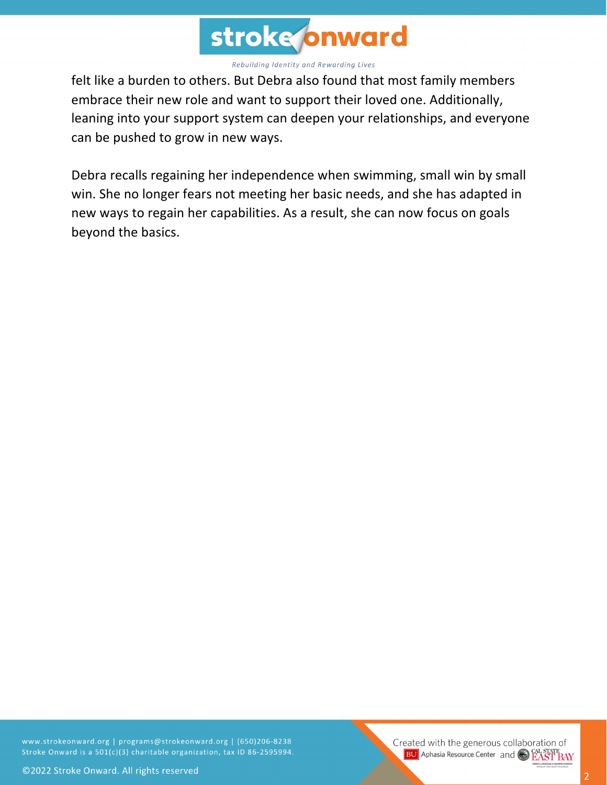

felt like a burden to others. But Debra also found that most family members embrace their new role and want to support their loved one. Additionally, leaning into your support system can deepen your relationships, and everyone can be pushed to grow in new ways.

Debra recalls regaining her independence when swimming, small win by small win. She no longer fears not meeting her basic needs, and she has adapted in new ways to regain her capabilities. As a result, she can now focus on goals beyond the basics.

www.strokeonward.org | programs@strokeonward.org | (650)206-8238 Stroke Onward is a 501(c)(3) charitable organization, tax ID 86-2595994.

Created with the generous collaboration of **BU** Aphasia Resource Center and **COL STATE BAY**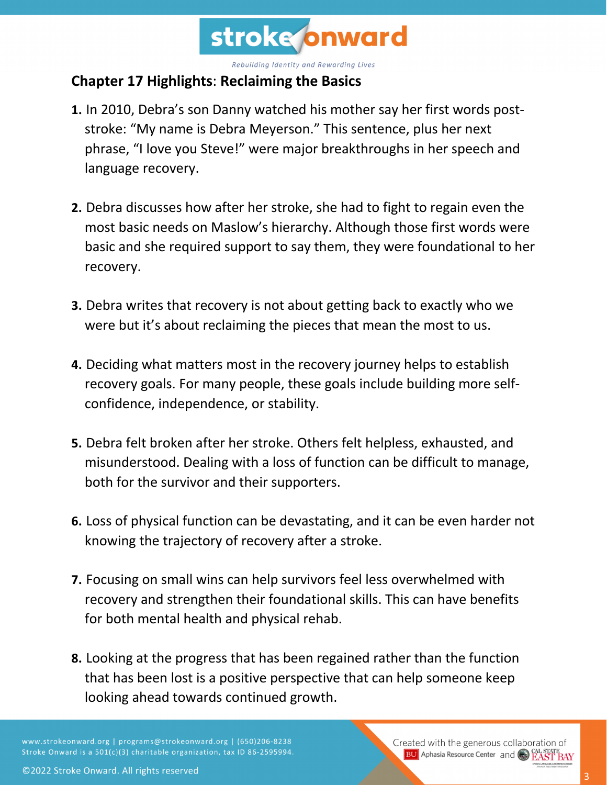

## **Chapter 17 Highlights**: **Reclaiming the Basics**

- **1.** In 2010, Debra's son Danny watched his mother say her first words poststroke: "My name is Debra Meyerson." This sentence, plus her next phrase, "I love you Steve!" were major breakthroughs in her speech and language recovery.
- **2.** Debra discusses how after her stroke, she had to fight to regain even the most basic needs on Maslow's hierarchy. Although those first words were basic and she required support to say them, they were foundational to her recovery.
- **3.** Debra writes that recovery is not about getting back to exactly who we were but it's about reclaiming the pieces that mean the most to us.
- **4.** Deciding what matters most in the recovery journey helps to establish recovery goals. For many people, these goals include building more selfconfidence, independence, or stability.
- **5.** Debra felt broken after her stroke. Others felt helpless, exhausted, and misunderstood. Dealing with a loss of function can be difficult to manage, both for the survivor and their supporters.
- **6.** Loss of physical function can be devastating, and it can be even harder not knowing the trajectory of recovery after a stroke.
- **7.** Focusing on small wins can help survivors feel less overwhelmed with recovery and strengthen their foundational skills. This can have benefits for both mental health and physical rehab.
- **8.** Looking at the progress that has been regained rather than the function that has been lost is a positive perspective that can help someone keep looking ahead towards continued growth.

www.strokeonward.org | programs@strokeonward.org | (650)206-8238 Stroke Onward is a 501(c)(3) charitable organization, tax ID 86-2595994. Created with the generous collaboration of **BU** Aphasia Resource Center and **CAL STATE**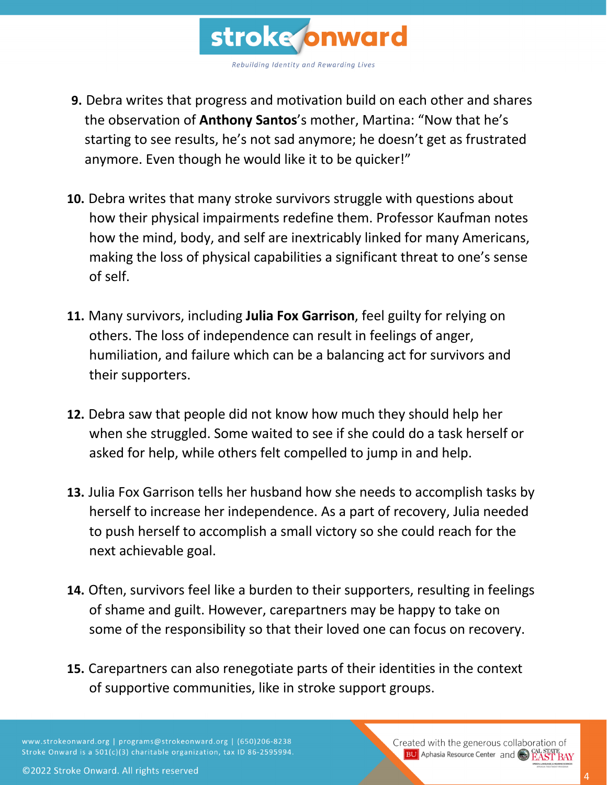

- **9.** Debra writes that progress and motivation build on each other and shares the observation of **Anthony Santos**'s mother, Martina: "Now that he's starting to see results, he's not sad anymore; he doesn't get as frustrated anymore. Even though he would like it to be quicker!"
- **10.** Debra writes that many stroke survivors struggle with questions about how their physical impairments redefine them. Professor Kaufman notes how the mind, body, and self are inextricably linked for many Americans, making the loss of physical capabilities a significant threat to one's sense of self.
- **11.** Many survivors, including **Julia Fox Garrison**, feel guilty for relying on others. The loss of independence can result in feelings of anger, humiliation, and failure which can be a balancing act for survivors and their supporters.
- **12.** Debra saw that people did not know how much they should help her when she struggled. Some waited to see if she could do a task herself or asked for help, while others felt compelled to jump in and help.
- **13.** Julia Fox Garrison tells her husband how she needs to accomplish tasks by herself to increase her independence. As a part of recovery, Julia needed to push herself to accomplish a small victory so she could reach for the next achievable goal.
- **14.** Often, survivors feel like a burden to their supporters, resulting in feelings of shame and guilt. However, carepartners may be happy to take on some of the responsibility so that their loved one can focus on recovery.
- **15.** Carepartners can also renegotiate parts of their identities in the context of supportive communities, like in stroke support groups.

www.strokeonward.org | programs@strokeonward.org | (650)206-8238 Stroke Onward is a 501(c)(3) charitable organization, tax ID 86-2595994.

Created with the generous collaboration of **BU** Aphasia Resource Center and **CAL STATE BAY** 

©2022 Stroke Onward. All rights reserved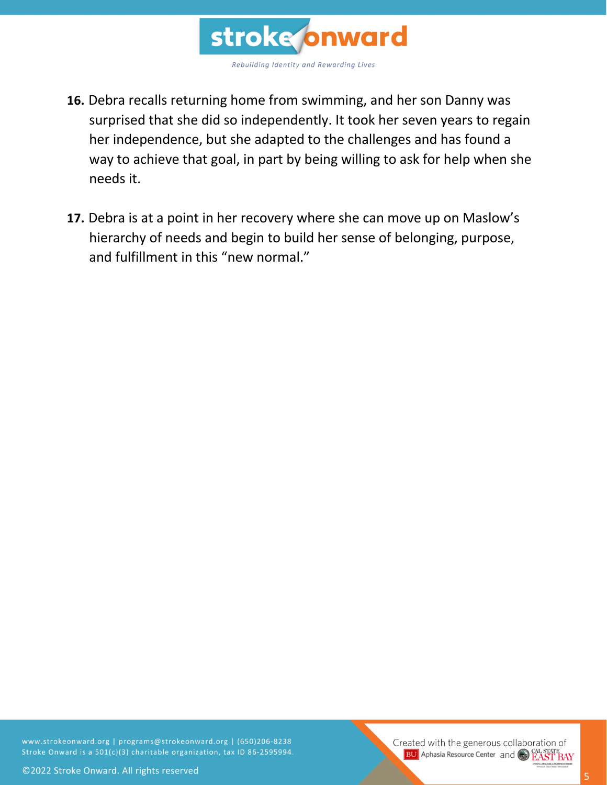

- **16.** Debra recalls returning home from swimming, and her son Danny was surprised that she did so independently. It took her seven years to regain her independence, but she adapted to the challenges and has found a way to achieve that goal, in part by being willing to ask for help when she needs it.
- **17.** Debra is at a point in her recovery where she can move up on Maslow's hierarchy of needs and begin to build her sense of belonging, purpose, and fulfillment in this "new normal."

www.strokeonward.org | programs@strokeonward.org | (650)206-8238 Stroke Onward is a 501(c)(3) charitable organization, tax ID 86-2595994.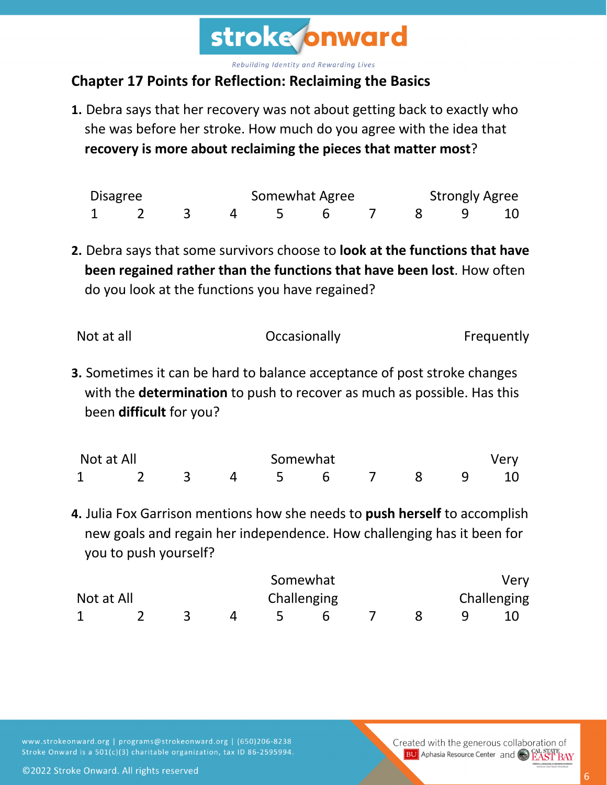

## **Chapter 17 Points for Reflection: Reclaiming the Basics**

**1.** Debra says that her recovery was not about getting back to exactly who she was before her stroke. How much do you agree with the idea that **recovery is more about reclaiming the pieces that matter most**?

| Disagree |  |  | Somewhat Agree |  |  |  | <b>Strongly Agree</b> |  |  |
|----------|--|--|----------------|--|--|--|-----------------------|--|--|
|          |  |  |                |  |  |  | 8 9 10                |  |  |

**2.** Debra says that some survivors choose to **look at the functions that have been regained rather than the functions that have been lost**. How often do you look at the functions you have regained?

| Not at all | Occasionally | Frequently |
|------------|--------------|------------|
|------------|--------------|------------|

**3.** Sometimes it can be hard to balance acceptance of post stroke changes with the **determination** to push to recover as much as possible. Has this been **difficult** for you?

| Not at All |  |  | Somewhat |  |                  |  | Very |  |  |  |
|------------|--|--|----------|--|------------------|--|------|--|--|--|
|            |  |  |          |  | 3 4 5 6 7 8 9 10 |  |      |  |  |  |

**4.** Julia Fox Garrison mentions how she needs to **push herself** to accomplish new goals and regain her independence. How challenging has it been for you to push yourself?

|            |  |  |             | Somewhat |  |  |             | Very |  |
|------------|--|--|-------------|----------|--|--|-------------|------|--|
| Not at All |  |  | Challenging |          |  |  | Challenging |      |  |
|            |  |  |             |          |  |  |             |      |  |

www.strokeonward.org | programs@strokeonward.org | (650)206-8238 Stroke Onward is a 501(c)(3) charitable organization, tax ID 86-2595994.